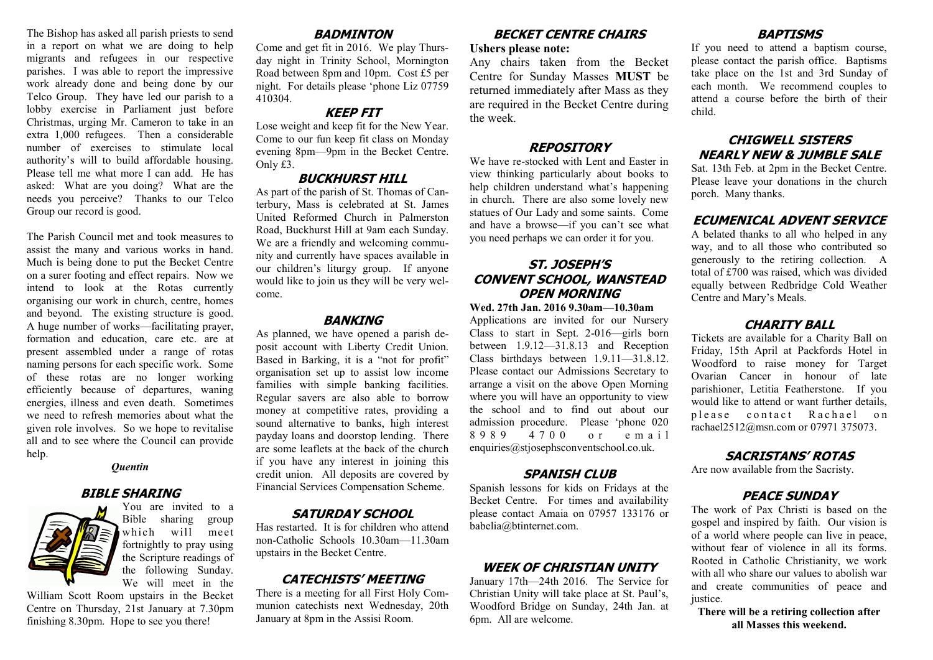The Bishop has asked all parish priests to send in a report on what we are doing to help migrants and refugees in our respective parishes. I was able to report the impressive work already done and being done by our Telco Group. They have led our parish to a lobby exercise in Parliament just before Christmas, urging Mr. Cameron to take in an extra 1,000 refugees. Then a considerable number of exercises to stimulate local authority's will to build affordable housing. Please tell me what more I can add. He has asked: What are you doing? What are the needs you perceive? Thanks to our Telco Group our record is good.

The Parish Council met and took measures to assist the many and various works in hand. Much is being done to put the Becket Centre on a surer footing and effect repairs. Now we intend to look at the Rotas currently organising our work in church, centre, homes and beyond. The existing structure is good. A huge number of works—facilitating prayer, formation and education, care etc. are at present assembled under a range of rotas naming persons for each specific work. Some of these rotas are no longer working efficiently because of departures, waning energies, illness and even death. Sometimes we need to refresh memories about what the given role involves. So we hope to revitalise all and to see where the Council can provide help.

#### *Quentin*

#### **BIBLE SHARING**



You are invited to a Bible sharing group which will meet fortnightly to pray using the Scripture readings of the following Sunday. We will meet in the

William Scott Room upstairs in the Becket Centre on Thursday, 21st January at 7.30pm finishing 8.30pm. Hope to see you there!

#### **BADMINTON**

Come and get fit in 2016. We play Thursday night in Trinity School, Mornington Road between 8pm and 10pm. Cost £5 per night. For details please 'phone Liz 07759 410304.

#### **KEEP FIT**

Lose weight and keep fit for the New Year. Come to our fun keep fit class on Monday evening 8pm—9pm in the Becket Centre. Only £3.

#### **BUCKHURST HILL**

As part of the parish of St. Thomas of Canterbury, Mass is celebrated at St. James United Reformed Church in Palmerston Road, Buckhurst Hill at 9am each Sunday. We are a friendly and welcoming community and currently have spaces available in our children's liturgy group. If anyone would like to join us they will be very welcome.

#### **BANKING**

As planned, we have opened a parish deposit account with Liberty Credit Union. Based in Barking, it is a "not for profit" organisation set up to assist low income families with simple banking facilities. Regular savers are also able to borrow money at competitive rates, providing a sound alternative to banks, high interest payday loans and doorstop lending. There are some leaflets at the back of the church if you have any interest in joining this credit union. All deposits are covered by Financial Services Compensation Scheme.

#### **SATURDAY SCHOOL**

Has restarted. It is for children who attend non-Catholic Schools 10.30am—11.30am upstairs in the Becket Centre.

## **CATECHISTS' MEETING**

There is a meeting for all First Holy Communion catechists next Wednesday, 20th January at 8pm in the Assisi Room.

#### **BECKET CENTRE CHAIRS Ushers please note:**

Any chairs taken from the Becket Centre for Sunday Masses **MUST** be returned immediately after Mass as they are required in the Becket Centre during the week.

#### **REPOSITORY**

We have re-stocked with Lent and Easter in view thinking particularly about books to help children understand what's happening in church. There are also some lovely new statues of Our Lady and some saints. Come and have a browse—if you can't see what you need perhaps we can order it for you.

# **ST. JOSEPH'S CONVENT SCHOOL, WANSTEAD OPEN MORNING**

#### **Wed. 27th Jan. 2016 9.30am—10.30am**

Applications are invited for our Nursery Class to start in Sept. 2-016—girls born between 1.9.12—31.8.13 and Reception Class birthdays between 1.9.11—31.8.12. Please contact our Admissions Secretary to arrange a visit on the above Open Morning where you will have an opportunity to view the school and to find out about our admission procedure. Please 'phone 020 8 9 8 9 4 7 0 0 o r e m a i l enquiries@stjosephsconventschool.co.uk.

#### **SPANISH CLUB**

Spanish lessons for kids on Fridays at the Becket Centre. For times and availability please contact Amaia on 07957 133176 or babelia@btinternet.com.

## **WEEK OF CHRISTIAN UNITY**

January 17th—24th 2016. The Service for Christian Unity will take place at St. Paul's, Woodford Bridge on Sunday, 24th Jan. at 6pm. All are welcome.

# **BAPTISMS**

If you need to attend a baptism course, please contact the parish office. Baptisms take place on the 1st and 3rd Sunday of each month. We recommend couples to attend a course before the birth of their child.

## **CHIGWELL SISTERS NEARLY NEW & JUMBLE SALE**

Sat. 13th Feb. at 2pm in the Becket Centre. Please leave your donations in the church porch. Many thanks.

#### **ECUMENICAL ADVENT SERVICE**

A belated thanks to all who helped in any way, and to all those who contributed so generously to the retiring collection. A total of £700 was raised, which was divided equally between Redbridge Cold Weather Centre and Mary's Meals.

#### **CHARITY BALL**

Tickets are available for a Charity Ball on Friday, 15th April at Packfords Hotel in Woodford to raise money for Target Ovarian Cancer in honour of late parishioner, Letitia Featherstone. If you would like to attend or want further details, please contact Rachael on rachael2512@msn.com or 07971 375073.

## **SACRISTANS' ROTAS**

Are now available from the Sacristy.

## **PEACE SUNDAY**

The work of Pax Christi is based on the gospel and inspired by faith. Our vision is of a world where people can live in peace, without fear of violence in all its forms. Rooted in Catholic Christianity, we work with all who share our values to abolish war and create communities of peace and justice.

**There will be a retiring collection after all Masses this weekend.**